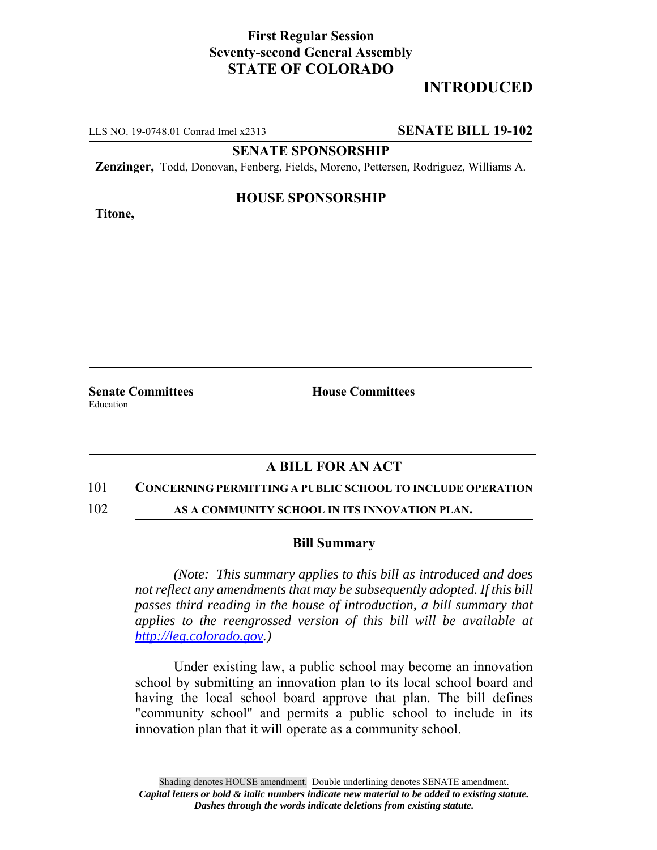# **First Regular Session Seventy-second General Assembly STATE OF COLORADO**

# **INTRODUCED**

LLS NO. 19-0748.01 Conrad Imel x2313 **SENATE BILL 19-102**

**SENATE SPONSORSHIP**

**Zenzinger,** Todd, Donovan, Fenberg, Fields, Moreno, Pettersen, Rodriguez, Williams A.

## **Titone,**

### **HOUSE SPONSORSHIP**

**Senate Committees House Committees** Education

## **A BILL FOR AN ACT**

#### 101 **CONCERNING PERMITTING A PUBLIC SCHOOL TO INCLUDE OPERATION**

102 **AS A COMMUNITY SCHOOL IN ITS INNOVATION PLAN.**

#### **Bill Summary**

*(Note: This summary applies to this bill as introduced and does not reflect any amendments that may be subsequently adopted. If this bill passes third reading in the house of introduction, a bill summary that applies to the reengrossed version of this bill will be available at http://leg.colorado.gov.)*

Under existing law, a public school may become an innovation school by submitting an innovation plan to its local school board and having the local school board approve that plan. The bill defines "community school" and permits a public school to include in its innovation plan that it will operate as a community school.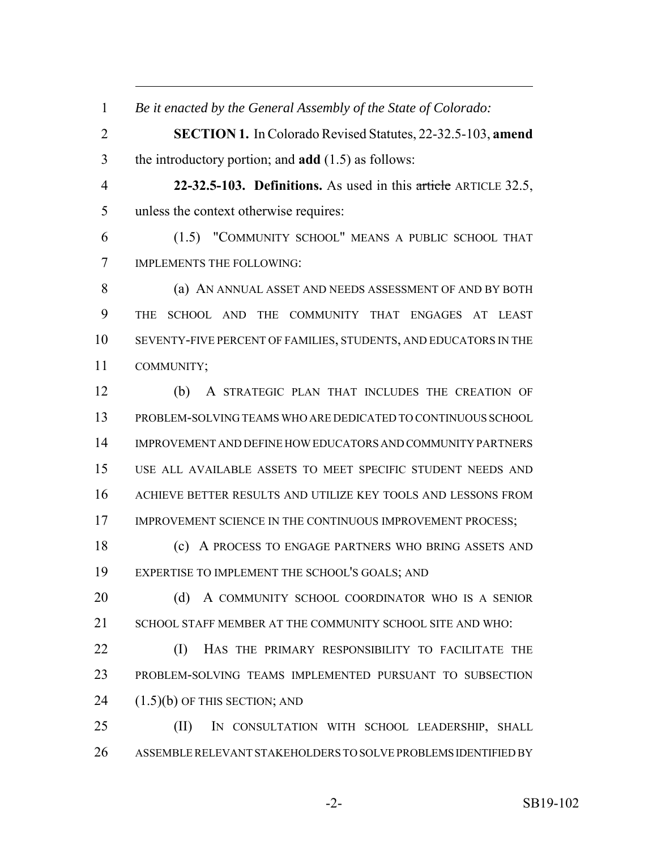| $\mathbf{1}$   | Be it enacted by the General Assembly of the State of Colorado:    |
|----------------|--------------------------------------------------------------------|
| $\overline{2}$ | <b>SECTION 1.</b> In Colorado Revised Statutes, 22-32.5-103, amend |
| 3              | the introductory portion; and <b>add</b> $(1.5)$ as follows:       |
| $\overline{4}$ | 22-32.5-103. Definitions. As used in this article ARTICLE 32.5,    |
| 5              | unless the context otherwise requires:                             |
| 6              | (1.5) "COMMUNITY SCHOOL" MEANS A PUBLIC SCHOOL THAT                |
| 7              | IMPLEMENTS THE FOLLOWING:                                          |
| 8              | (a) AN ANNUAL ASSET AND NEEDS ASSESSMENT OF AND BY BOTH            |
| 9              | SCHOOL AND<br>THE COMMUNITY THAT ENGAGES AT LEAST<br><b>THE</b>    |
| 10             | SEVENTY-FIVE PERCENT OF FAMILIES, STUDENTS, AND EDUCATORS IN THE   |
| 11             | COMMUNITY;                                                         |
| 12             | A STRATEGIC PLAN THAT INCLUDES THE CREATION OF<br>(b)              |
| 13             | PROBLEM-SOLVING TEAMS WHO ARE DEDICATED TO CONTINUOUS SCHOOL       |
| 14             | IMPROVEMENT AND DEFINE HOW EDUCATORS AND COMMUNITY PARTNERS        |
| 15             | USE ALL AVAILABLE ASSETS TO MEET SPECIFIC STUDENT NEEDS AND        |
| 16             | ACHIEVE BETTER RESULTS AND UTILIZE KEY TOOLS AND LESSONS FROM      |
| 17             | IMPROVEMENT SCIENCE IN THE CONTINUOUS IMPROVEMENT PROCESS;         |
| 18             | A PROCESS TO ENGAGE PARTNERS WHO BRING ASSETS AND<br>(c)           |
| 19             | EXPERTISE TO IMPLEMENT THE SCHOOL'S GOALS; AND                     |
| 20             | (d)<br>A COMMUNITY SCHOOL COORDINATOR WHO IS A SENIOR              |
| 21             | SCHOOL STAFF MEMBER AT THE COMMUNITY SCHOOL SITE AND WHO:          |
| 22             | (I)<br>HAS THE PRIMARY RESPONSIBILITY TO FACILITATE THE            |
| 23             | PROBLEM-SOLVING TEAMS IMPLEMENTED PURSUANT TO SUBSECTION           |
| 24             | $(1.5)(b)$ OF THIS SECTION; AND                                    |
| 25             | (II)<br>IN CONSULTATION WITH SCHOOL LEADERSHIP, SHALL              |
| 26             | ASSEMBLE RELEVANT STAKEHOLDERS TO SOLVE PROBLEMS IDENTIFIED BY     |